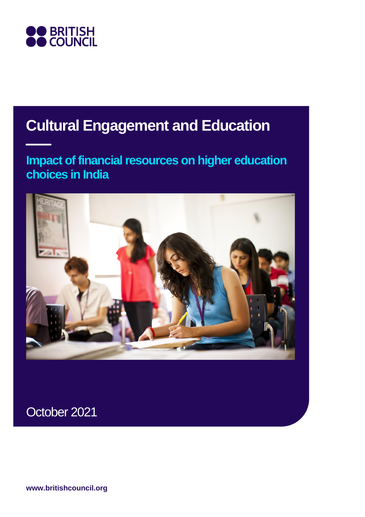

## **Cultural Engagement and Education**

### **Impact of financial resources on higher education choices in India**



October 2021

**www.britishcouncil.org**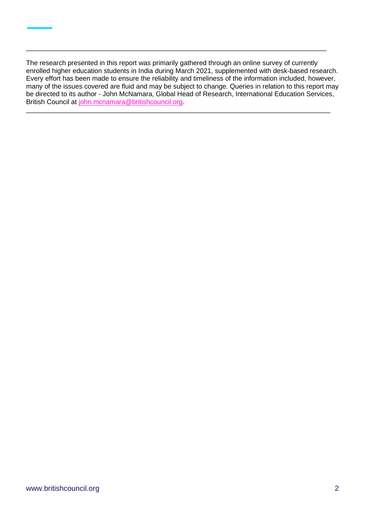The research presented in this report was primarily gathered through an online survey of currently enrolled higher education students in India during March 2021, supplemented with desk-based research. Every effort has been made to ensure the reliability and timeliness of the information included, however, many of the issues covered are fluid and may be subject to change. Queries in relation to this report may be directed to its author - John McNamara, Global Head of Research, International Education Services, British Council at [john.mcnamara@britishcouncil.org.](mailto:john.mcnamara@britishcouncil.org)

\_\_\_\_\_\_\_\_\_\_\_\_\_\_\_\_\_\_\_\_\_\_\_\_\_\_\_\_\_\_\_\_\_\_\_\_\_\_\_\_\_\_\_\_\_\_\_\_\_\_\_\_\_\_\_\_\_\_\_\_\_\_\_\_\_\_\_\_\_\_\_\_\_\_\_\_\_\_\_\_\_

\_\_\_\_\_\_\_\_\_\_\_\_\_\_\_\_\_\_\_\_\_\_\_\_\_\_\_\_\_\_\_\_\_\_\_\_\_\_\_\_\_\_\_\_\_\_\_\_\_\_\_\_\_\_\_\_\_\_\_\_\_\_\_\_\_\_\_\_\_\_\_\_\_\_\_\_\_\_\_\_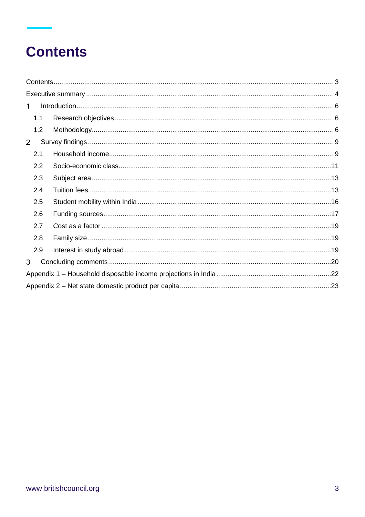## **Contents**

| $\mathbf 1$    |     |  |
|----------------|-----|--|
|                | 1.1 |  |
|                | 1.2 |  |
| $\overline{2}$ |     |  |
|                | 2.1 |  |
|                | 2.2 |  |
|                | 2.3 |  |
|                | 2.4 |  |
|                | 2.5 |  |
|                | 2.6 |  |
|                | 2.7 |  |
|                | 2.8 |  |
|                | 2.9 |  |
| 3              |     |  |
|                |     |  |
|                |     |  |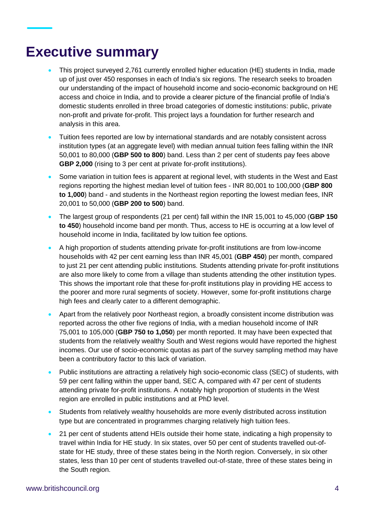## **Executive summary**

- This project surveyed 2,761 currently enrolled higher education (HE) students in India, made up of just over 450 responses in each of India's six regions. The research seeks to broaden our understanding of the impact of household income and socio-economic background on HE access and choice in India, and to provide a clearer picture of the financial profile of India's domestic students enrolled in three broad categories of domestic institutions: public, private non-profit and private for-profit. This project lays a foundation for further research and analysis in this area.
- Tuition fees reported are low by international standards and are notably consistent across institution types (at an aggregate level) with median annual tuition fees falling within the INR 50,001 to 80,000 (**GBP 500 to 800**) band. Less than 2 per cent of students pay fees above **GBP 2,000** (rising to 3 per cent at private for-profit institutions).
- Some variation in tuition fees is apparent at regional level, with students in the West and East regions reporting the highest median level of tuition fees - INR 80,001 to 100,000 (**GBP 800 to 1,000**) band - and students in the Northeast region reporting the lowest median fees, INR 20,001 to 50,000 (**GBP 200 to 500**) band.
- The largest group of respondents (21 per cent) fall within the INR 15,001 to 45,000 (**GBP 150 to 450**) household income band per month. Thus, access to HE is occurring at a low level of household income in India, facilitated by low tuition fee options.
- A high proportion of students attending private for-profit institutions are from low-income households with 42 per cent earning less than INR 45,001 (**GBP 450**) per month, compared to just 21 per cent attending public institutions. Students attending private for-profit institutions are also more likely to come from a village than students attending the other institution types. This shows the important role that these for-profit institutions play in providing HE access to the poorer and more rural segments of society. However, some for-profit institutions charge high fees and clearly cater to a different demographic.
- Apart from the relatively poor Northeast region, a broadly consistent income distribution was reported across the other five regions of India, with a median household income of INR 75,001 to 105,000 (**GBP 750 to 1,050**) per month reported. It may have been expected that students from the relatively wealthy South and West regions would have reported the highest incomes. Our use of socio-economic quotas as part of the survey sampling method may have been a contributory factor to this lack of variation.
- Public institutions are attracting a relatively high socio-economic class (SEC) of students, with 59 per cent falling within the upper band, SEC A, compared with 47 per cent of students attending private for-profit institutions. A notably high proportion of students in the West region are enrolled in public institutions and at PhD level.
- Students from relatively wealthy households are more evenly distributed across institution type but are concentrated in programmes charging relatively high tuition fees.
- 21 per cent of students attend HEIs outside their home state, indicating a high propensity to travel within India for HE study. In six states, over 50 per cent of students travelled out-ofstate for HE study, three of these states being in the North region. Conversely, in six other states, less than 10 per cent of students travelled out-of-state, three of these states being in the South region.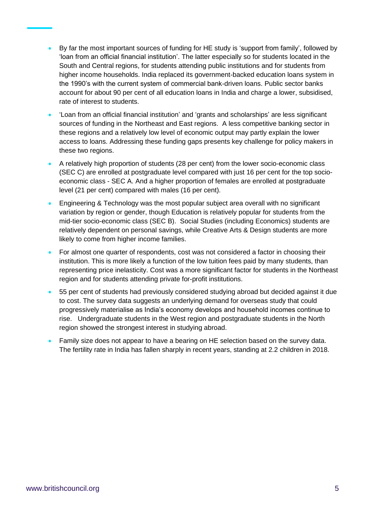- By far the most important sources of funding for HE study is 'support from family', followed by 'loan from an official financial institution'. The latter especially so for students located in the South and Central regions, for students attending public institutions and for students from higher income households. India replaced its government-backed education loans system in the 1990's with the current system of commercial bank-driven loans. Public sector banks account for about 90 per cent of all education loans in India and charge a lower, subsidised, rate of interest to students.
- 'Loan from an official financial institution' and 'grants and scholarships' are less significant sources of funding in the Northeast and East regions. A less competitive banking sector in these regions and a relatively low level of economic output may partly explain the lower access to loans. Addressing these funding gaps presents key challenge for policy makers in these two regions.
- A relatively high proportion of students (28 per cent) from the lower socio-economic class (SEC C) are enrolled at postgraduate level compared with just 16 per cent for the top socioeconomic class - SEC A. And a higher proportion of females are enrolled at postgraduate level (21 per cent) compared with males (16 per cent).
- Engineering & Technology was the most popular subject area overall with no significant variation by region or gender, though Education is relatively popular for students from the mid-tier socio-economic class (SEC B). Social Studies (including Economics) students are relatively dependent on personal savings, while Creative Arts & Design students are more likely to come from higher income families.
- For almost one quarter of respondents, cost was not considered a factor in choosing their institution. This is more likely a function of the low tuition fees paid by many students, than representing price inelasticity. Cost was a more significant factor for students in the Northeast region and for students attending private for-profit institutions.
- 55 per cent of students had previously considered studying abroad but decided against it due to cost. The survey data suggests an underlying demand for overseas study that could progressively materialise as India's economy develops and household incomes continue to rise. Undergraduate students in the West region and postgraduate students in the North region showed the strongest interest in studying abroad.
- Family size does not appear to have a bearing on HE selection based on the survey data. The fertility rate in India has fallen sharply in recent years, standing at 2.2 children in 2018.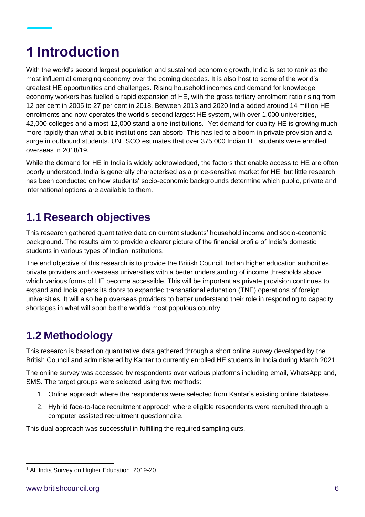## **Introduction**

With the world's second largest population and sustained economic growth, India is set to rank as the most influential emerging economy over the coming decades. It is also host to some of the world's greatest HE opportunities and challenges. Rising household incomes and demand for knowledge economy workers has fuelled a rapid expansion of HE, with the gross tertiary enrolment ratio rising from 12 per cent in 2005 to 27 per cent in 2018. Between 2013 and 2020 India added around 14 million HE enrolments and now operates the world's second largest HE system, with over 1,000 universities, 42,000 colleges and almost 12,000 stand-alone institutions.<sup>1</sup> Yet demand for quality HE is growing much more rapidly than what public institutions can absorb. This has led to a boom in private provision and a surge in outbound students. UNESCO estimates that over 375,000 Indian HE students were enrolled overseas in 2018/19.

While the demand for HE in India is widely acknowledged, the factors that enable access to HE are often poorly understood. India is generally characterised as a price-sensitive market for HE, but little research has been conducted on how students' socio-economic backgrounds determine which public, private and international options are available to them.

### **1.1 Research objectives**

This research gathered quantitative data on current students' household income and socio-economic background. The results aim to provide a clearer picture of the financial profile of India's domestic students in various types of Indian institutions.

The end objective of this research is to provide the British Council, Indian higher education authorities, private providers and overseas universities with a better understanding of income thresholds above which various forms of HE become accessible. This will be important as private provision continues to expand and India opens its doors to expanded transnational education (TNE) operations of foreign universities. It will also help overseas providers to better understand their role in responding to capacity shortages in what will soon be the world's most populous country.

### **1.2 Methodology**

This research is based on quantitative data gathered through a short online survey developed by the British Council and administered by Kantar to currently enrolled HE students in India during March 2021.

The online survey was accessed by respondents over various platforms including email, WhatsApp and, SMS. The target groups were selected using two methods:

- 1. Online approach where the respondents were selected from Kantar's existing online database.
- 2. Hybrid face-to-face recruitment approach where eligible respondents were recruited through a computer assisted recruitment questionnaire.

This dual approach was successful in fulfilling the required sampling cuts.

<sup>1</sup> All India Survey on Higher Education, 2019-20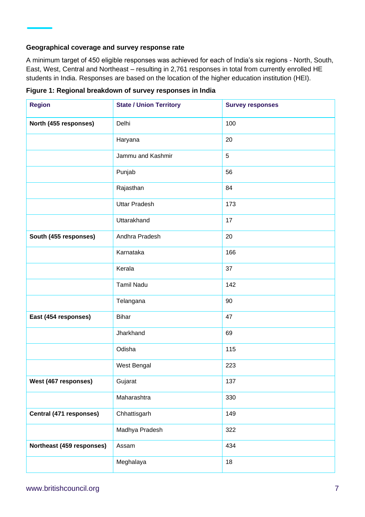#### **Geographical coverage and survey response rate**

A minimum target of 450 eligible responses was achieved for each of India's six regions - North, South, East, West, Central and Northeast – resulting in 2,761 responses in total from currently enrolled HE students in India. Responses are based on the location of the higher education institution (HEI).

| <b>Region</b>             | <b>State / Union Territory</b> | <b>Survey responses</b> |
|---------------------------|--------------------------------|-------------------------|
| North (455 responses)     | Delhi                          | 100                     |
|                           | Haryana                        | 20                      |
|                           | Jammu and Kashmir              | $\sqrt{5}$              |
|                           | Punjab                         | 56                      |
|                           | Rajasthan                      | 84                      |
|                           | <b>Uttar Pradesh</b>           | 173                     |
|                           | Uttarakhand                    | 17                      |
| South (455 responses)     | Andhra Pradesh                 | 20                      |
|                           | Karnataka                      | 166                     |
|                           | Kerala                         | 37                      |
|                           | <b>Tamil Nadu</b>              | 142                     |
|                           | Telangana                      | 90                      |
| East (454 responses)      | <b>Bihar</b>                   | 47                      |
|                           | Jharkhand                      | 69                      |
|                           | Odisha                         | 115                     |
|                           | West Bengal                    | 223                     |
| West (467 responses)      | Gujarat                        | 137                     |
|                           | Maharashtra                    | 330                     |
| Central (471 responses)   | Chhattisgarh                   | 149                     |
|                           | Madhya Pradesh                 | 322                     |
| Northeast (459 responses) | Assam                          | 434                     |
|                           | Meghalaya                      | 18                      |

**Figure 1: Regional breakdown of survey responses in India**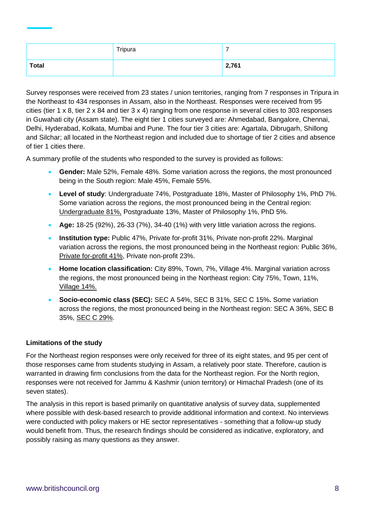|       | Tripura | –     |
|-------|---------|-------|
| Total |         | 2,761 |

Survey responses were received from 23 states / union territories, ranging from 7 responses in Tripura in the Northeast to 434 responses in Assam, also in the Northeast. Responses were received from 95 cities (tier 1 x 8, tier 2 x 84 and tier 3 x 4) ranging from one response in several cities to 303 responses in Guwahati city (Assam state). The eight tier 1 cities surveyed are: Ahmedabad, Bangalore, Chennai, Delhi, Hyderabad, Kolkata, Mumbai and Pune. The four tier 3 cities are: Agartala, Dibrugarh, Shillong and Silchar; all located in the Northeast region and included due to shortage of tier 2 cities and absence of tier 1 cities there.

A summary profile of the students who responded to the survey is provided as follows:

- **Gender:** Male 52%, Female 48%. Some variation across the regions, the most pronounced being in the South region: Male 45%, Female 55%.
- **Level of study**: Undergraduate 74%, Postgraduate 18%, Master of Philosophy 1%, PhD 7%. Some variation across the regions, the most pronounced being in the Central region: Undergraduate 81%, Postgraduate 13%, Master of Philosophy 1%, PhD 5%.
- **Age:** 18-25 (92%), 26-33 (7%), 34-40 (1%) with very little variation across the regions.
- **Institution type:** Public 47%, Private for-profit 31%, Private non-profit 22%. Marginal variation across the regions, the most pronounced being in the Northeast region: Public 36%, Private for-profit 41%, Private non-profit 23%.
- **Home location classification:** City 89%, Town, 7%, Village 4%. Marginal variation across the regions, the most pronounced being in the Northeast region: City 75%, Town, 11%, Village 14%.
- **Socio-economic class (SEC):** SEC A 54%, SEC B 31%, SEC C 15%**.** Some variation across the regions, the most pronounced being in the Northeast region: SEC A 36%, SEC B 35%, SEC C 29%.

#### **Limitations of the study**

For the Northeast region responses were only received for three of its eight states, and 95 per cent of those responses came from students studying in Assam, a relatively poor state. Therefore, caution is warranted in drawing firm conclusions from the data for the Northeast region. For the North region, responses were not received for Jammu & Kashmir (union territory) or Himachal Pradesh (one of its seven states).

The analysis in this report is based primarily on quantitative analysis of survey data, supplemented where possible with desk-based research to provide additional information and context. No interviews were conducted with policy makers or HE sector representatives - something that a follow-up study would benefit from. Thus, the research findings should be considered as indicative, exploratory, and possibly raising as many questions as they answer.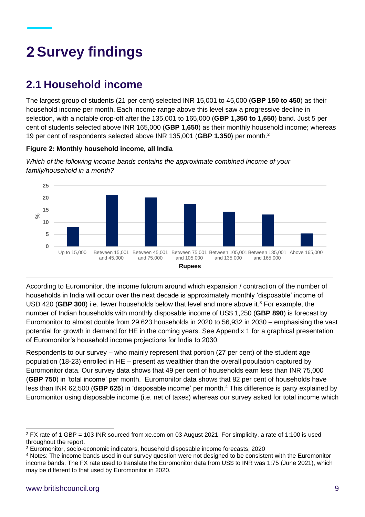# **Survey findings**

### **2.1 Household income**

The largest group of students (21 per cent) selected INR 15,001 to 45,000 (**GBP 150 to 450**) as their household income per month. Each income range above this level saw a progressive decline in selection, with a notable drop-off after the 135,001 to 165,000 (**GBP 1,350 to 1,650**) band. Just 5 per cent of students selected above INR 165,000 (**GBP 1,650**) as their monthly household income; whereas 19 per cent of respondents selected above INR 135,001 (**GBP 1,350**) per month.<sup>2</sup>

#### **Figure 2: Monthly household income, all India**



*Which of the following income bands contains the approximate combined income of your family/household in a month?*

According to Euromonitor, the income fulcrum around which expansion / contraction of the number of households in India will occur over the next decade is approximately monthly 'disposable' income of USD 420 (**GBP 300**) i.e. fewer households below that level and more above it.<sup>3</sup> For example, the number of Indian households with monthly disposable income of US\$ 1,250 (**GBP 890**) is forecast by Euromonitor to almost double from 29,623 households in 2020 to 56,932 in 2030 – emphasising the vast potential for growth in demand for HE in the coming years. See Appendix 1 for a graphical presentation of Euromonitor's household income projections for India to 2030.

Respondents to our survey – who mainly represent that portion (27 per cent) of the student age population (18-23) enrolled in HE – present as wealthier than the overall population captured by Euromonitor data. Our survey data shows that 49 per cent of households earn less than INR 75,000 (**GBP 750**) in 'total income' per month. Euromonitor data shows that 82 per cent of households have less than INR 62,500 (**GBP 625**) in 'disposable income' per month.<sup>4</sup> This difference is party explained by Euromonitor using disposable income (i.e. net of taxes) whereas our survey asked for total income which

<sup>2</sup> FX rate of 1 GBP = 103 INR sourced from xe.com on 03 August 2021. For simplicity, a rate of 1:100 is used throughout the report.

<sup>3</sup> Euromonitor, socio-economic indicators, household disposable income forecasts, 2020

<sup>4</sup> Notes: The income bands used in our survey question were not designed to be consistent with the Euromonitor income bands. The FX rate used to translate the Euromonitor data from US\$ to INR was 1:75 (June 2021), which may be different to that used by Euromonitor in 2020.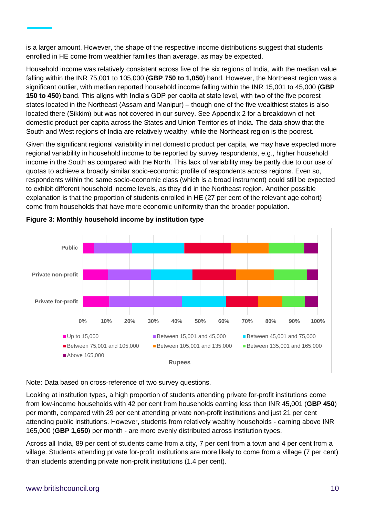is a larger amount. However, the shape of the respective income distributions suggest that students enrolled in HE come from wealthier families than average, as may be expected.

Household income was relatively consistent across five of the six regions of India, with the median value falling within the INR 75,001 to 105,000 (**GBP 750 to 1,050**) band. However, the Northeast region was a significant outlier, with median reported household income falling within the INR 15,001 to 45,000 (**GBP 150 to 450**) band. This aligns with India's GDP per capita at state level, with two of the five poorest states located in the Northeast (Assam and Manipur) – though one of the five wealthiest states is also located there (Sikkim) but was not covered in our survey. See Appendix 2 for a breakdown of net domestic product per capita across the States and Union Territories of India. The data show that the South and West regions of India are relatively wealthy, while the Northeast region is the poorest.

Given the significant regional variability in net domestic product per capita, we may have expected more regional variability in household income to be reported by survey respondents, e.g., higher household income in the South as compared with the North. This lack of variability may be partly due to our use of quotas to achieve a broadly similar socio-economic profile of respondents across regions. Even so, respondents within the same socio-economic class (which is a broad instrument) could still be expected to exhibit different household income levels, as they did in the Northeast region. Another possible explanation is that the proportion of students enrolled in HE (27 per cent of the relevant age cohort) come from households that have more economic uniformity than the broader population.



**Figure 3: Monthly household income by institution type**

Note: Data based on cross-reference of two survey questions.

Looking at institution types, a high proportion of students attending private for-profit institutions come from low-income households with 42 per cent from households earning less than INR 45,001 (**GBP 450**) per month, compared with 29 per cent attending private non-profit institutions and just 21 per cent attending public institutions. However, students from relatively wealthy households - earning above INR 165,000 (**GBP 1,650**) per month - are more evenly distributed across institution types.

Across all India, 89 per cent of students came from a city, 7 per cent from a town and 4 per cent from a village. Students attending private for-profit institutions are more likely to come from a village (7 per cent) than students attending private non-profit institutions (1.4 per cent).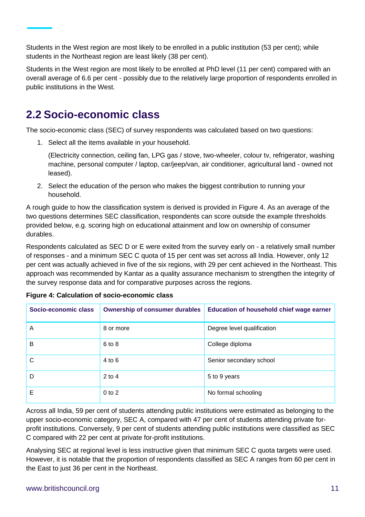Students in the West region are most likely to be enrolled in a public institution (53 per cent); while students in the Northeast region are least likely (38 per cent).

Students in the West region are most likely to be enrolled at PhD level (11 per cent) compared with an overall average of 6.6 per cent - possibly due to the relatively large proportion of respondents enrolled in public institutions in the West.

### **2.2 Socio-economic class**

The socio-economic class (SEC) of survey respondents was calculated based on two questions:

1. Select all the items available in your household.

(Electricity connection, ceiling fan, LPG gas / stove, two-wheeler, colour tv, refrigerator, washing machine, personal computer / laptop, car/jeep/van, air conditioner, agricultural land - owned not leased).

2. Select the education of the person who makes the biggest contribution to running your household.

A rough guide to how the classification system is derived is provided in Figure 4. As an average of the two questions determines SEC classification, respondents can score outside the example thresholds provided below, e.g. scoring high on educational attainment and low on ownership of consumer durables.

Respondents calculated as SEC D or E were exited from the survey early on - a relatively small number of responses - and a minimum SEC C quota of 15 per cent was set across all India. However, only 12 per cent was actually achieved in five of the six regions, with 29 per cent achieved in the Northeast. This approach was recommended by Kantar as a quality assurance mechanism to strengthen the integrity of the survey response data and for comparative purposes across the regions.

| Socio-economic class | <b>Ownership of consumer durables</b> | Education of household chief wage earner |
|----------------------|---------------------------------------|------------------------------------------|
| A                    | 8 or more                             | Degree level qualification               |
| B                    | 6 to 8                                | College diploma                          |
| C                    | $4$ to $6$                            | Senior secondary school                  |
| D                    | $2$ to 4                              | 5 to 9 years                             |
| Е                    | $0$ to $2$                            | No formal schooling                      |

|  | Figure 4: Calculation of socio-economic class |  |
|--|-----------------------------------------------|--|
|  |                                               |  |

Across all India, 59 per cent of students attending public institutions were estimated as belonging to the upper socio-economic category, SEC A, compared with 47 per cent of students attending private forprofit institutions. Conversely, 9 per cent of students attending public institutions were classified as SEC C compared with 22 per cent at private for-profit institutions.

Analysing SEC at regional level is less instructive given that minimum SEC C quota targets were used. However, it is notable that the proportion of respondents classified as SEC A ranges from 60 per cent in the East to just 36 per cent in the Northeast.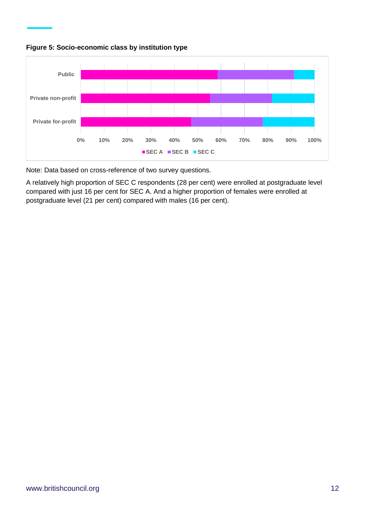



Note: Data based on cross-reference of two survey questions.

A relatively high proportion of SEC C respondents (28 per cent) were enrolled at postgraduate level compared with just 16 per cent for SEC A. And a higher proportion of females were enrolled at postgraduate level (21 per cent) compared with males (16 per cent).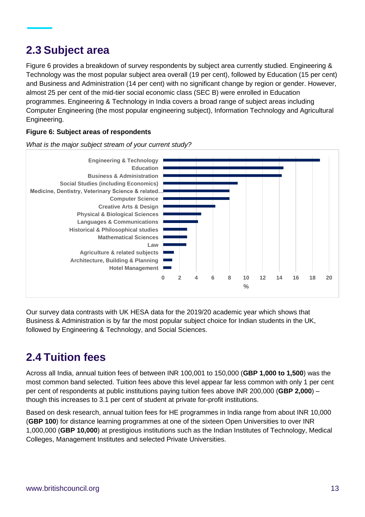#### **2.3 Subject area**

Figure 6 provides a breakdown of survey respondents by subject area currently studied. Engineering & Technology was the most popular subject area overall (19 per cent), followed by Education (15 per cent) and Business and Administration (14 per cent) with no significant change by region or gender. However, almost 25 per cent of the mid-tier social economic class (SEC B) were enrolled in Education programmes. Engineering & Technology in India covers a broad range of subject areas including Computer Engineering (the most popular engineering subject), Information Technology and Agricultural Engineering.

#### **Figure 6: Subject areas of respondents**

*What is the major subject stream of your current study?*



Our survey data contrasts with UK HESA data for the 2019/20 academic year which shows that Business & Administration is by far the most popular subject choice for Indian students in the UK, followed by Engineering & Technology, and Social Sciences.

### **2.4 Tuition fees**

Across all India, annual tuition fees of between INR 100,001 to 150,000 (**GBP 1,000 to 1,500**) was the most common band selected. Tuition fees above this level appear far less common with only 1 per cent per cent of respondents at public institutions paying tuition fees above INR 200,000 (**GBP 2,000**) – though this increases to 3.1 per cent of student at private for-profit institutions.

Based on desk research, annual tuition fees for HE programmes in India range from about INR 10,000 (**GBP 100**) for distance learning programmes at one of the sixteen Open Universities to over INR 1,000,000 (**GBP 10,000**) at prestigious institutions such as the Indian Institutes of Technology, Medical Colleges, Management Institutes and selected Private Universities.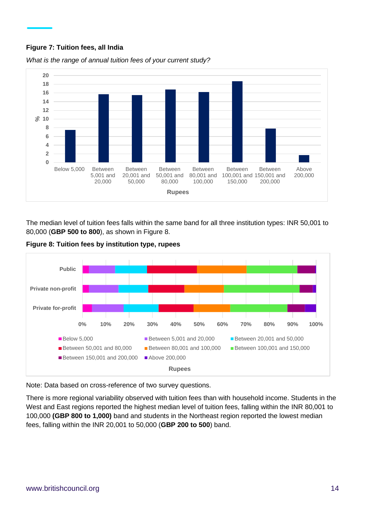#### **Figure 7: Tuition fees, all India**



*What is the range of annual tuition fees of your current study?*

The median level of tuition fees falls within the same band for all three institution types: INR 50,001 to 80,000 (**GBP 500 to 800**), as shown in Figure 8.

**Figure 8: Tuition fees by institution type, rupees**



Note: Data based on cross-reference of two survey questions.

There is more regional variability observed with tuition fees than with household income. Students in the West and East regions reported the highest median level of tuition fees, falling within the INR 80,001 to 100,000 **(GBP 800 to 1,000)** band and students in the Northeast region reported the lowest median fees, falling within the INR 20,001 to 50,000 (**GBP 200 to 500**) band.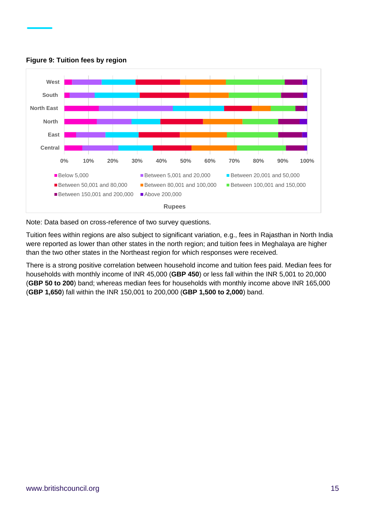

**Figure 9: Tuition fees by region** 

Note: Data based on cross-reference of two survey questions.

Tuition fees within regions are also subject to significant variation, e.g., fees in Rajasthan in North India were reported as lower than other states in the north region; and tuition fees in Meghalaya are higher than the two other states in the Northeast region for which responses were received.

There is a strong positive correlation between household income and tuition fees paid. Median fees for households with monthly income of INR 45,000 (**GBP 450**) or less fall within the INR 5,001 to 20,000 (**GBP 50 to 200**) band; whereas median fees for households with monthly income above INR 165,000 (**GBP 1,650**) fall within the INR 150,001 to 200,000 (**GBP 1,500 to 2,000**) band.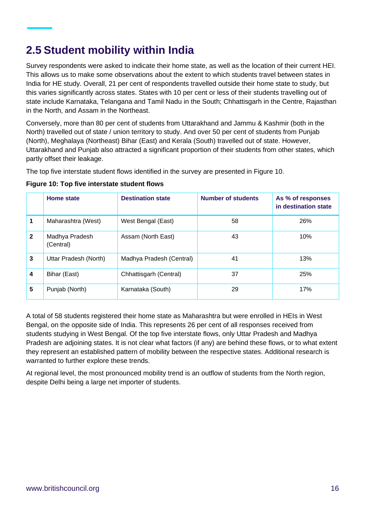### **2.5 Student mobility within India**

Survey respondents were asked to indicate their home state, as well as the location of their current HEI. This allows us to make some observations about the extent to which students travel between states in India for HE study. Overall, 21 per cent of respondents travelled outside their home state to study, but this varies significantly across states. States with 10 per cent or less of their students travelling out of state include Karnataka, Telangana and Tamil Nadu in the South; Chhattisgarh in the Centre, Rajasthan in the North, and Assam in the Northeast.

Conversely, more than 80 per cent of students from Uttarakhand and Jammu & Kashmir (both in the North) travelled out of state / union territory to study. And over 50 per cent of students from Punjab (North), Meghalaya (Northeast) Bihar (East) and Kerala (South) travelled out of state. However, Uttarakhand and Punjab also attracted a significant proportion of their students from other states, which partly offset their leakage.

The top five interstate student flows identified in the survey are presented in Figure 10.

| Figure 10: Top five interstate student flows |
|----------------------------------------------|
|----------------------------------------------|

|              | Home state                  | <b>Destination state</b> | <b>Number of students</b> | As % of responses<br>in destination state |
|--------------|-----------------------------|--------------------------|---------------------------|-------------------------------------------|
| 1            | Maharashtra (West)          | West Bengal (East)       | 58                        | 26%                                       |
| $\mathbf{2}$ | Madhya Pradesh<br>(Central) | Assam (North East)       | 43                        | 10%                                       |
| 3            | Uttar Pradesh (North)       | Madhya Pradesh (Central) | 41                        | 13%                                       |
| 4            | Bihar (East)                | Chhattisgarh (Central)   | 37                        | 25%                                       |
| 5            | Punjab (North)              | Karnataka (South)        | 29                        | 17%                                       |

A total of 58 students registered their home state as Maharashtra but were enrolled in HEIs in West Bengal, on the opposite side of India. This represents 26 per cent of all responses received from students studying in West Bengal. Of the top five interstate flows, only Uttar Pradesh and Madhya Pradesh are adjoining states. It is not clear what factors (if any) are behind these flows, or to what extent they represent an established pattern of mobility between the respective states. Additional research is warranted to further explore these trends.

At regional level, the most pronounced mobility trend is an outflow of students from the North region, despite Delhi being a large net importer of students.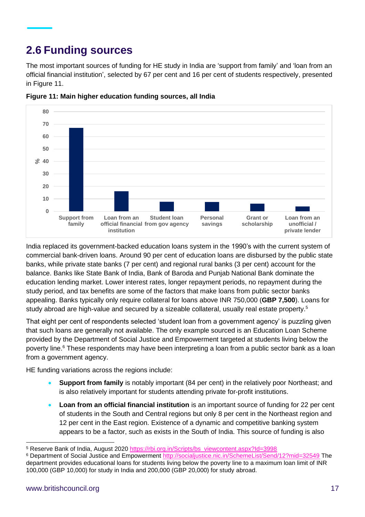### **2.6 Funding sources**

The most important sources of funding for HE study in India are 'support from family' and 'loan from an official financial institution', selected by 67 per cent and 16 per cent of students respectively, presented in Figure 11.



**Figure 11: Main higher education funding sources, all India** 

India replaced its government-backed education loans system in the 1990's with the current system of commercial bank-driven loans. Around 90 per cent of education loans are disbursed by the public state banks, while private state banks (7 per cent) and regional rural banks (3 per cent) account for the balance. Banks like State Bank of India, Bank of Baroda and Punjab National Bank dominate the education lending market. Lower interest rates, longer repayment periods, no repayment during the study period, and tax benefits are some of the factors that make loans from public sector banks appealing. Banks typically only require collateral for loans above INR 750,000 (**GBP 7,500**). Loans for study abroad are high-value and secured by a sizeable collateral, usually real estate property.<sup>5</sup>

That eight per cent of respondents selected 'student loan from a government agency' is puzzling given that such loans are generally not available. The only example sourced is an Education Loan Scheme provided by the Department of Social Justice and Empowerment targeted at students living below the poverty line.<sup>6</sup> These respondents may have been interpreting a loan from a public sector bank as a loan from a government agency.

HE funding variations across the regions include:

- **Support from family** is notably important (84 per cent) in the relatively poor Northeast; and is also relatively important for students attending private for-profit institutions.
- **Loan from an official financial institution** is an important source of funding for 22 per cent of students in the South and Central regions but only 8 per cent in the Northeast region and 12 per cent in the East region. Existence of a dynamic and competitive banking system appears to be a factor, such as exists in the South of India. This source of funding is also

<sup>5</sup> Reserve Bank of India, August 2020 [https://rbi.org.in/Scripts/bs\\_viewcontent.aspx?Id=3998](https://rbi.org.in/Scripts/bs_viewcontent.aspx?Id=3998)

<sup>6</sup> Department of Social Justice and Empowerment<http://socialjustice.nic.in/SchemeList/Send/12?mid=32549> The department provides educational loans for students living below the poverty line to a maximum loan limit of INR 100,000 (GBP 10,000) for study in India and 200,000 (GBP 20,000) for study abroad.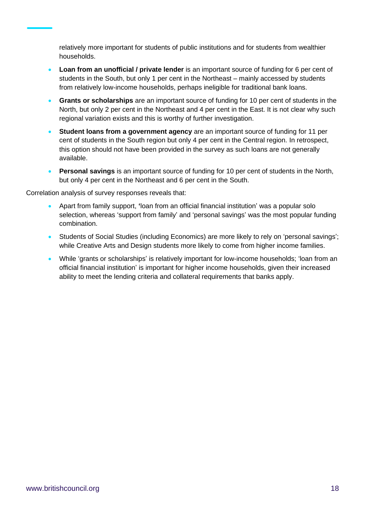relatively more important for students of public institutions and for students from wealthier households.

- **Loan from an unofficial / private lender** is an important source of funding for 6 per cent of students in the South, but only 1 per cent in the Northeast – mainly accessed by students from relatively low-income households, perhaps ineligible for traditional bank loans.
- **Grants or scholarships** are an important source of funding for 10 per cent of students in the North, but only 2 per cent in the Northeast and 4 per cent in the East. It is not clear why such regional variation exists and this is worthy of further investigation.
- **Student loans from a government agency** are an important source of funding for 11 per cent of students in the South region but only 4 per cent in the Central region. In retrospect, this option should not have been provided in the survey as such loans are not generally available.
- **Personal savings** is an important source of funding for 10 per cent of students in the North, but only 4 per cent in the Northeast and 6 per cent in the South.

Correlation analysis of survey responses reveals that:

- Apart from family support, **'**loan from an official financial institution' was a popular solo selection, whereas 'support from family' and 'personal savings' was the most popular funding combination.
- Students of Social Studies (including Economics) are more likely to rely on 'personal savings'; while Creative Arts and Design students more likely to come from higher income families.
- While 'grants or scholarships' is relatively important for low-income households; 'loan from an official financial institution' is important for higher income households, given their increased ability to meet the lending criteria and collateral requirements that banks apply.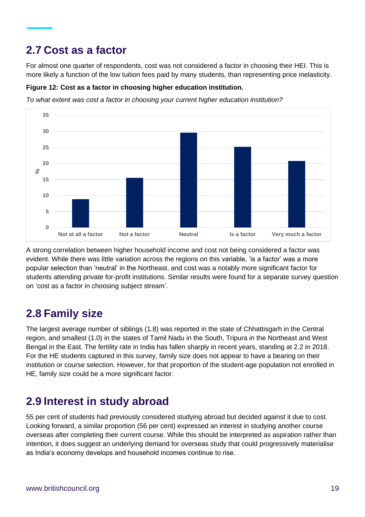#### **2.7 Cost as a factor**

For almost one quarter of respondents, cost was not considered a factor in choosing their HEI. This is more likely a function of the low tuition fees paid by many students, than representing price inelasticity.

#### **Figure 12: Cost as a factor in choosing higher education institution.**

*To what extent was cost a factor in choosing your current higher education institution?* 



A strong correlation between higher household income and cost not being considered a factor was evident. While there was little variation across the regions on this variable, 'is a factor' was a more popular selection than 'neutral' in the Northeast, and cost was a notably more significant factor for students attending private for-profit institutions. Similar results were found for a separate survey question on 'cost as a factor in choosing subject stream'.

### **2.8 Family size**

The largest average number of siblings (1.8) was reported in the state of Chhattisgarh in the Central region, and smallest (1.0) in the states of Tamil Nadu in the South, Tripura in the Northeast and West Bengal in the East. The fertility rate in India has fallen sharply in recent years, standing at 2.2 in 2018. For the HE students captured in this survey, family size does not appear to have a bearing on their institution or course selection. However, for that proportion of the student-age population not enrolled in HE, family size could be a more significant factor.

#### **2.9 Interest in study abroad**

55 per cent of students had previously considered studying abroad but decided against it due to cost. Looking forward, a similar proportion (56 per cent) expressed an interest in studying another course overseas after completing their current course. While this should be interpreted as aspiration rather than intention, it does suggest an underlying demand for overseas study that could progressively materialise as India's economy develops and household incomes continue to rise.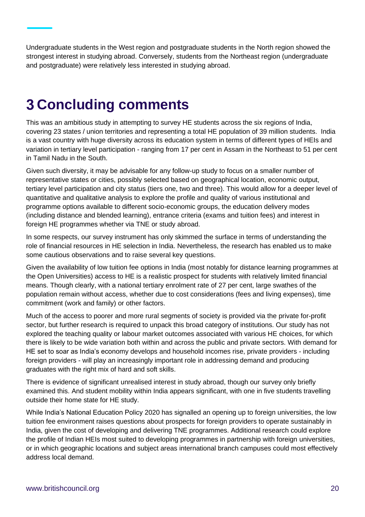Undergraduate students in the West region and postgraduate students in the North region showed the strongest interest in studying abroad. Conversely, students from the Northeast region (undergraduate and postgraduate) were relatively less interested in studying abroad.

## **Concluding comments**

This was an ambitious study in attempting to survey HE students across the six regions of India, covering 23 states / union territories and representing a total HE population of 39 million students. India is a vast country with huge diversity across its education system in terms of different types of HEIs and variation in tertiary level participation - ranging from 17 per cent in Assam in the Northeast to 51 per cent in Tamil Nadu in the South.

Given such diversity, it may be advisable for any follow-up study to focus on a smaller number of representative states or cities, possibly selected based on geographical location, economic output, tertiary level participation and city status (tiers one, two and three). This would allow for a deeper level of quantitative and qualitative analysis to explore the profile and quality of various institutional and programme options available to different socio-economic groups, the education delivery modes (including distance and blended learning), entrance criteria (exams and tuition fees) and interest in foreign HE programmes whether via TNE or study abroad.

In some respects, our survey instrument has only skimmed the surface in terms of understanding the role of financial resources in HE selection in India. Nevertheless, the research has enabled us to make some cautious observations and to raise several key questions.

Given the availability of low tuition fee options in India (most notably for distance learning programmes at the Open Universities) access to HE is a realistic prospect for students with relatively limited financial means. Though clearly, with a national tertiary enrolment rate of 27 per cent, large swathes of the population remain without access, whether due to cost considerations (fees and living expenses), time commitment (work and family) or other factors.

Much of the access to poorer and more rural segments of society is provided via the private for-profit sector, but further research is required to unpack this broad category of institutions. Our study has not explored the teaching quality or labour market outcomes associated with various HE choices, for which there is likely to be wide variation both within and across the public and private sectors. With demand for HE set to soar as India's economy develops and household incomes rise, private providers - including foreign providers - will play an increasingly important role in addressing demand and producing graduates with the right mix of hard and soft skills.

There is evidence of significant unrealised interest in study abroad, though our survey only briefly examined this. And student mobility within India appears significant, with one in five students travelling outside their home state for HE study.

While India's National Education Policy 2020 has signalled an opening up to foreign universities, the low tuition fee environment raises questions about prospects for foreign providers to operate sustainably in India, given the cost of developing and delivering TNE programmes. Additional research could explore the profile of Indian HEIs most suited to developing programmes in partnership with foreign universities, or in which geographic locations and subject areas international branch campuses could most effectively address local demand.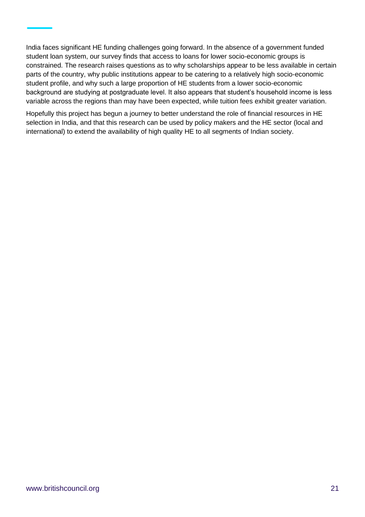India faces significant HE funding challenges going forward. In the absence of a government funded student loan system, our survey finds that access to loans for lower socio-economic groups is constrained. The research raises questions as to why scholarships appear to be less available in certain parts of the country, why public institutions appear to be catering to a relatively high socio-economic student profile, and why such a large proportion of HE students from a lower socio-economic background are studying at postgraduate level. It also appears that student's household income is less variable across the regions than may have been expected, while tuition fees exhibit greater variation.

Hopefully this project has begun a journey to better understand the role of financial resources in HE selection in India, and that this research can be used by policy makers and the HE sector (local and international) to extend the availability of high quality HE to all segments of Indian society.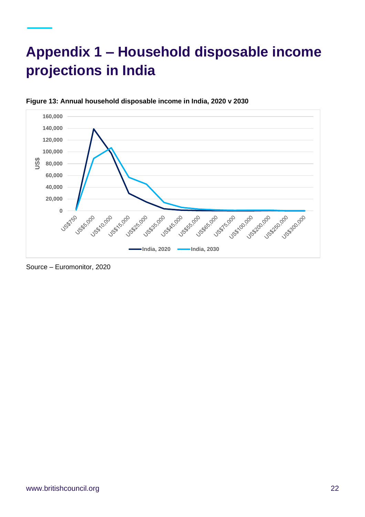## **Appendix 1 – Household disposable income projections in India**



#### **Figure 13: Annual household disposable income in India, 2020 v 2030**

Source – Euromonitor, 2020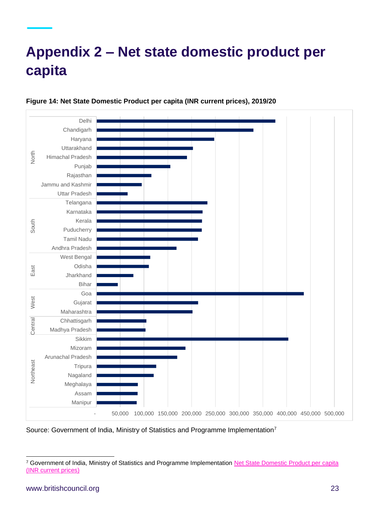## **Appendix 2 – Net state domestic product per capita**



#### **Figure 14: Net State Domestic Product per capita (INR current prices), 2019/20**

Source: Government of India, Ministry of Statistics and Programme Implementation<sup>7</sup>

<sup>7</sup> Government of India, Ministry of Statistics and Programme Implementation [Net State Domestic Product per capita](https://mospi.gov.in/documents/213904/549201/1627915303250_State_wise_SDP_02_08_2021_upload.xls/0cebb05c-4f56-0952-c2cd-7739ceef0ad2)  [\(INR current prices\)](https://mospi.gov.in/documents/213904/549201/1627915303250_State_wise_SDP_02_08_2021_upload.xls/0cebb05c-4f56-0952-c2cd-7739ceef0ad2)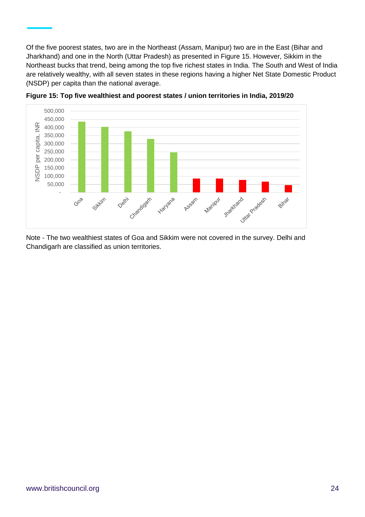Of the five poorest states, two are in the Northeast (Assam, Manipur) two are in the East (Bihar and Jharkhand) and one in the North (Uttar Pradesh) as presented in Figure 15. However, Sikkim in the Northeast bucks that trend, being among the top five richest states in India. The South and West of India are relatively wealthy, with all seven states in these regions having a higher Net State Domestic Product (NSDP) per capita than the national average.



**Figure 15: Top five wealthiest and poorest states / union territories in India, 2019/20**

Note - The two wealthiest states of Goa and Sikkim were not covered in the survey. Delhi and Chandigarh are classified as union territories.